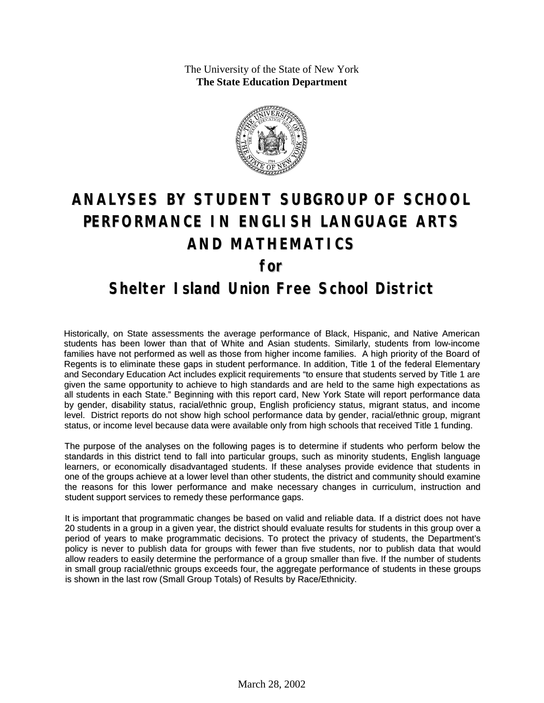The University of the State of New York **The State Education Department**



# **ANALYSES BY STUDENT SUBGROUP OF SCHOOL PERFORMANCE IN ENGLISH LANGUAGE ARTS AND MATHEMATICS for**

#### **Shelter Island Union Free School District**

Historically, on State assessments the average performance of Black, Hispanic, and Native American students has been lower than that of White and Asian students. Similarly, students from low-income families have not performed as well as those from higher income families. A high priority of the Board of Regents is to eliminate these gaps in student performance. In addition, Title 1 of the federal Elementary and Secondary Education Act includes explicit requirements "to ensure that students served by Title 1 are given the same opportunity to achieve to high standards and are held to the same high expectations as all students in each State." Beginning with this report card, New York State will report performance data by gender, disability status, racial/ethnic group, English proficiency status, migrant status, and income level. District reports do not show high school performance data by gender, racial/ethnic group, migrant status, or income level because data were available only from high schools that received Title 1 funding.

The purpose of the analyses on the following pages is to determine if students who perform below the standards in this district tend to fall into particular groups, such as minority students, English language learners, or economically disadvantaged students. If these analyses provide evidence that students in one of the groups achieve at a lower level than other students, the district and community should examine the reasons for this lower performance and make necessary changes in curriculum, instruction and student support services to remedy these performance gaps.

It is important that programmatic changes be based on valid and reliable data. If a district does not have 20 students in a group in a given year, the district should evaluate results for students in this group over a period of years to make programmatic decisions. To protect the privacy of students, the Department's policy is never to publish data for groups with fewer than five students, nor to publish data that would allow readers to easily determine the performance of a group smaller than five. If the number of students in small group racial/ethnic groups exceeds four, the aggregate performance of students in these groups is shown in the last row (Small Group Totals) of Results by Race/Ethnicity.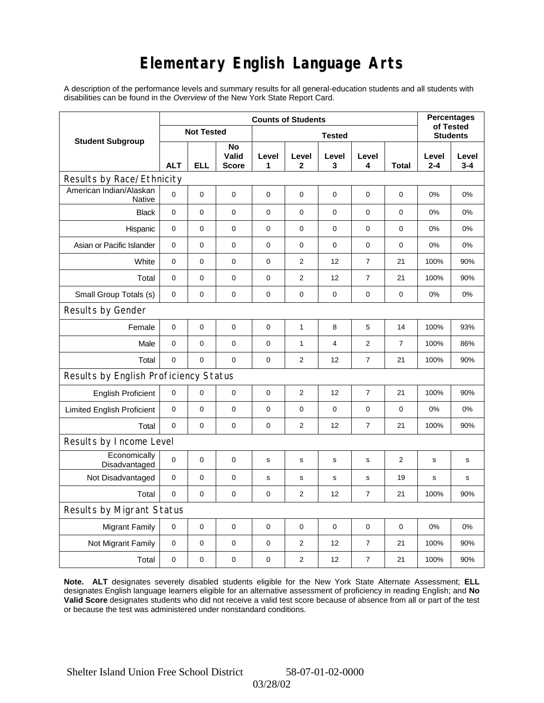## **Elementary English Language Arts**

A description of the performance levels and summary results for all general-education students and all students with disabilities can be found in the *Overview* of the New York State Report Card.

|                                          | <b>Counts of Students</b> |            |                             |             |                              |             |                  |                |                  | <b>Percentages</b> |
|------------------------------------------|---------------------------|------------|-----------------------------|-------------|------------------------------|-------------|------------------|----------------|------------------|--------------------|
| <b>Student Subgroup</b>                  | <b>Not Tested</b>         |            |                             |             | of Tested<br><b>Students</b> |             |                  |                |                  |                    |
|                                          | <b>ALT</b>                | <b>ELL</b> | No<br>Valid<br><b>Score</b> | Level<br>1  | Level<br>$\mathbf 2$         | Level<br>3  | Level<br>4       | Total          | Level<br>$2 - 4$ | Level<br>$3 - 4$   |
| Results by Race/Ethnicity                |                           |            |                             |             |                              |             |                  |                |                  |                    |
| American Indian/Alaskan<br><b>Native</b> | $\mathbf 0$               | 0          | $\pmb{0}$                   | $\pmb{0}$   | 0                            | $\pmb{0}$   | $\pmb{0}$        | 0              | 0%               | 0%                 |
| <b>Black</b>                             | $\mathbf 0$               | 0          | $\pmb{0}$                   | $\pmb{0}$   | $\Omega$                     | $\Omega$    | $\pmb{0}$        | $\Omega$       | 0%               | 0%                 |
| Hispanic                                 | 0                         | 0          | $\pmb{0}$                   | $\pmb{0}$   | $\mathbf 0$                  | 0           | 0                | 0              | 0%               | 0%                 |
| Asian or Pacific Islander                | 0                         | 0          | 0                           | 0           | 0                            | $\mathbf 0$ | 0                | 0              | 0%               | 0%                 |
| White                                    | $\mathbf 0$               | 0          | $\pmb{0}$                   | 0           | 2                            | 12          | $\overline{7}$   | 21             | 100%             | 90%                |
| Total                                    | $\mathbf 0$               | 0          | $\pmb{0}$                   | $\pmb{0}$   | $\overline{2}$               | 12          | $\boldsymbol{7}$ | 21             | 100%             | 90%                |
| Small Group Totals (s)                   | 0                         | 0          | 0                           | 0           | 0                            | 0           | 0                | 0              | 0%               | 0%                 |
| Results by Gender                        |                           |            |                             |             |                              |             |                  |                |                  |                    |
| Female                                   | $\pmb{0}$                 | 0          | $\pmb{0}$                   | $\pmb{0}$   | $\mathbf{1}$                 | 8           | 5                | 14             | 100%             | 93%                |
| Male                                     | $\mathbf 0$               | 0          | 0                           | $\pmb{0}$   | $\mathbf{1}$                 | 4           | 2                | $\overline{7}$ | 100%             | 86%                |
| Total                                    | 0                         | 0          | $\mathbf 0$                 | $\mathbf 0$ | $\overline{c}$               | 12          | $\overline{7}$   | 21             | 100%             | 90%                |
| Results by English Proficiency Status    |                           |            |                             |             |                              |             |                  |                |                  |                    |
| <b>English Proficient</b>                | $\mathbf 0$               | 0          | $\pmb{0}$                   | $\pmb{0}$   | $\overline{2}$               | 12          | $\boldsymbol{7}$ | 21             | 100%             | 90%                |
| <b>Limited English Proficient</b>        | $\mathbf 0$               | 0          | $\pmb{0}$                   | 0           | 0                            | $\mathbf 0$ | $\pmb{0}$        | $\mathbf 0$    | 0%               | 0%                 |
| Total                                    | $\mathbf 0$               | 0          | $\pmb{0}$                   | $\pmb{0}$   | $\mathbf{2}$                 | 12          | $\overline{7}$   | 21             | 100%             | 90%                |
| Results by Income Level                  |                           |            |                             |             |                              |             |                  |                |                  |                    |
| Economically<br>Disadvantaged            | $\mathbf 0$               | 0          | $\mathbf 0$                 | $\mathbf s$ | $\mathbf s$                  | $\mathbf s$ | s                | 2              | s                | s                  |
| Not Disadvantaged                        | 0                         | 0          | $\mathbf 0$                 | s           | $\mathbf s$                  | $\mathbf s$ | s                | 19             | $\mathbf s$      | s                  |
| Total                                    | $\mathbf 0$               | 0          | 0                           | 0           | $\overline{2}$               | 12          | $\overline{7}$   | 21             | 100%             | 90%                |
| Results by Migrant Status                |                           |            |                             |             |                              |             |                  |                |                  |                    |
| <b>Migrant Family</b>                    | 0                         | 0          | $\pmb{0}$                   | 0           | 0                            | $\mathbf 0$ | 0                | 0              | 0%               | 0%                 |
| Not Migrant Family                       | $\mathbf 0$               | 0          | $\pmb{0}$                   | $\pmb{0}$   | $\overline{2}$               | 12          | $\boldsymbol{7}$ | 21             | 100%             | 90%                |
| Total                                    | 0                         | 0          | $\pmb{0}$                   | 0           | $\overline{\mathbf{c}}$      | 12          | $\boldsymbol{7}$ | 21             | 100%             | 90%                |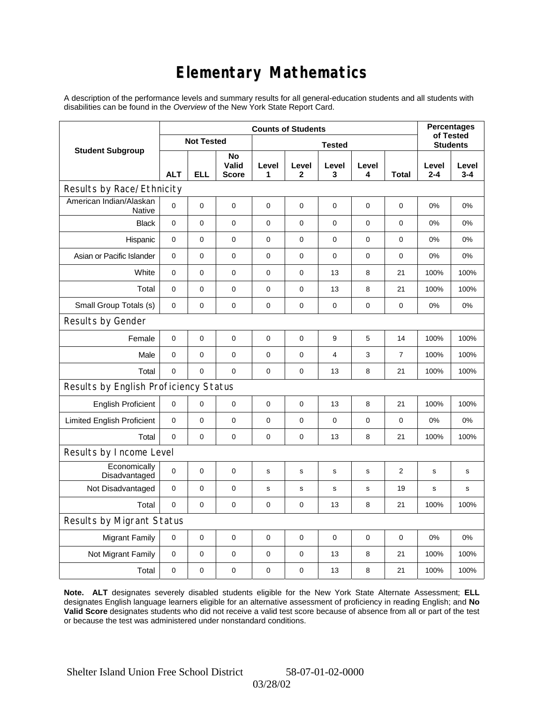### **Elementary Mathematics**

A description of the performance levels and summary results for all general-education students and all students with disabilities can be found in the *Overview* of the New York State Report Card.

|                                          | <b>Counts of Students</b> |             |                             |             |                 |             |             |                | <b>Percentages</b><br>of Tested |                  |
|------------------------------------------|---------------------------|-------------|-----------------------------|-------------|-----------------|-------------|-------------|----------------|---------------------------------|------------------|
| <b>Student Subgroup</b>                  | <b>Not Tested</b>         |             |                             |             | <b>Students</b> |             |             |                |                                 |                  |
|                                          | <b>ALT</b>                | <b>ELL</b>  | No<br>Valid<br><b>Score</b> | Level<br>1  | Level<br>2      | Level<br>3  | Level<br>4  | <b>Total</b>   | Level<br>$2 - 4$                | Level<br>$3 - 4$ |
| Results by Race/Ethnicity                |                           |             |                             |             |                 |             |             |                |                                 |                  |
| American Indian/Alaskan<br><b>Native</b> | 0                         | $\mathbf 0$ | $\mathbf 0$                 | 0           | $\mathbf 0$     | 0           | 0           | 0              | 0%                              | 0%               |
| <b>Black</b>                             | 0                         | 0           | $\pmb{0}$                   | $\pmb{0}$   | $\mathbf 0$     | 0           | $\mathbf 0$ | 0              | 0%                              | 0%               |
| Hispanic                                 | $\mathbf 0$               | 0           | $\mathbf 0$                 | 0           | $\mathbf 0$     | 0           | $\mathbf 0$ | 0              | 0%                              | 0%               |
| Asian or Pacific Islander                | $\mathbf 0$               | 0           | $\mathbf 0$                 | $\pmb{0}$   | $\mathbf 0$     | 0           | 0           | $\mathbf 0$    | 0%                              | 0%               |
| White                                    | 0                         | 0           | 0                           | $\pmb{0}$   | $\mathbf 0$     | 13          | 8           | 21             | 100%                            | 100%             |
| Total                                    | 0                         | 0           | $\mathbf 0$                 | 0           | 0               | 13          | 8           | 21             | 100%                            | 100%             |
| Small Group Totals (s)                   | $\mathbf 0$               | 0           | $\mathbf 0$                 | $\pmb{0}$   | $\mathbf 0$     | 0           | $\pmb{0}$   | 0              | 0%                              | 0%               |
| Results by Gender                        |                           |             |                             |             |                 |             |             |                |                                 |                  |
| Female                                   | 0                         | $\mathsf 0$ | $\pmb{0}$                   | $\pmb{0}$   | $\mathbf 0$     | 9           | 5           | 14             | 100%                            | 100%             |
| Male                                     | $\mathbf 0$               | 0           | $\mathbf 0$                 | 0           | $\mathbf 0$     | 4           | 3           | $\overline{7}$ | 100%                            | 100%             |
| Total                                    | 0                         | 0           | $\mathbf 0$                 | $\mathbf 0$ | $\mathbf 0$     | 13          | 8           | 21             | 100%                            | 100%             |
| Results by English Proficiency Status    |                           |             |                             |             |                 |             |             |                |                                 |                  |
| <b>English Proficient</b>                | 0                         | 0           | $\mathbf 0$                 | 0           | 0               | 13          | 8           | 21             | 100%                            | 100%             |
| <b>Limited English Proficient</b>        | 0                         | 0           | $\mathbf 0$                 | $\pmb{0}$   | $\mathbf 0$     | 0           | 0           | 0              | 0%                              | 0%               |
| Total                                    | $\mathbf 0$               | 0           | $\mathbf 0$                 | $\mathbf 0$ | $\mathbf 0$     | 13          | 8           | 21             | 100%                            | 100%             |
| Results by Income Level                  |                           |             |                             |             |                 |             |             |                |                                 |                  |
| Economically<br>Disadvantaged            | 0                         | $\mathsf 0$ | $\mathbf 0$                 | $\mathbf s$ | S               | $\mathbf s$ | s           | $\overline{2}$ | $\mathbf s$                     | s                |
| Not Disadvantaged                        | $\mathbf 0$               | 0           | $\mathbf 0$                 | s           | s               | s           | s           | 19             | s                               | s                |
| Total                                    | $\mathbf 0$               | $\mathbf 0$ | 0                           | 0           | 0               | 13          | 8           | 21             | 100%                            | 100%             |
| Results by Migrant Status                |                           |             |                             |             |                 |             |             |                |                                 |                  |
| <b>Migrant Family</b>                    | $\mathbf 0$               | 0           | $\pmb{0}$                   | $\mathbf 0$ | $\mathbf 0$     | 0           | 0           | $\mathbf 0$    | 0%                              | 0%               |
| Not Migrant Family                       | 0                         | 0           | 0                           | 0           | 0               | 13          | 8           | 21             | 100%                            | 100%             |
| Total                                    | 0                         | 0           | 0                           | 0           | 0               | 13          | 8           | 21             | 100%                            | 100%             |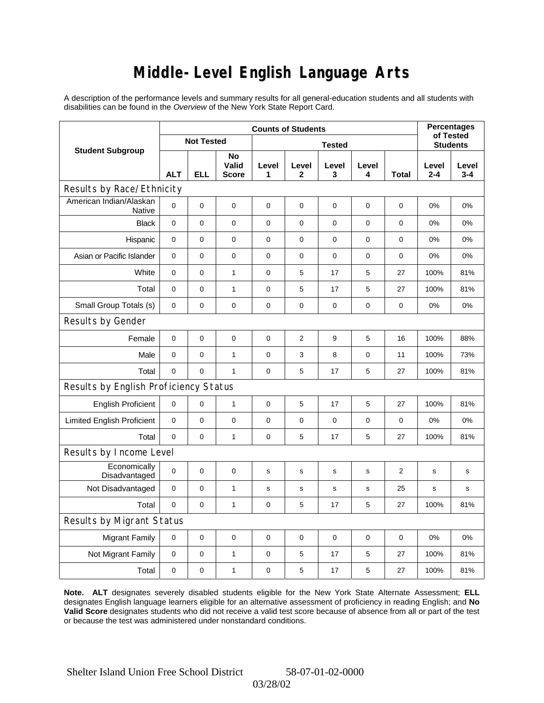### **Middle-Level English Language Arts**

A description of the performance levels and summary results for all general-education students and all students with disabilities can be found in the *Overview* of the New York State Report Card.

|                                          | <b>Counts of Students</b> |             |                             |             |                |             |             |                 | <b>Percentages</b><br>of Tested |                  |
|------------------------------------------|---------------------------|-------------|-----------------------------|-------------|----------------|-------------|-------------|-----------------|---------------------------------|------------------|
| <b>Student Subgroup</b>                  | <b>Not Tested</b>         |             | <b>Tested</b>               |             |                |             |             | <b>Students</b> |                                 |                  |
|                                          | <b>ALT</b>                | <b>ELL</b>  | No<br>Valid<br><b>Score</b> | Level<br>1  | Level<br>2     | Level<br>3  | Level<br>4  | <b>Total</b>    | Level<br>$2 - 4$                | Level<br>$3 - 4$ |
| Results by Race/Ethnicity                |                           |             |                             |             |                |             |             |                 |                                 |                  |
| American Indian/Alaskan<br><b>Native</b> | 0                         | $\mathbf 0$ | $\mathbf 0$                 | $\mathbf 0$ | $\mathbf 0$    | 0           | 0           | 0               | 0%                              | 0%               |
| <b>Black</b>                             | 0                         | 0           | $\pmb{0}$                   | $\pmb{0}$   | $\mathbf 0$    | 0           | $\mathbf 0$ | 0               | 0%                              | 0%               |
| Hispanic                                 | $\mathbf 0$               | 0           | $\mathbf 0$                 | 0           | $\mathbf 0$    | 0           | $\mathbf 0$ | 0               | 0%                              | 0%               |
| Asian or Pacific Islander                | $\mathbf 0$               | 0           | $\mathbf 0$                 | $\pmb{0}$   | $\mathbf 0$    | 0           | 0           | $\mathbf 0$     | 0%                              | 0%               |
| White                                    | 0                         | 0           | $\mathbf{1}$                | $\pmb{0}$   | 5              | 17          | 5           | 27              | 100%                            | 81%              |
| Total                                    | 0                         | 0           | $\mathbf{1}$                | 0           | 5              | 17          | 5           | 27              | 100%                            | 81%              |
| Small Group Totals (s)                   | $\mathbf 0$               | 0           | $\mathbf 0$                 | $\pmb{0}$   | $\mathbf 0$    | 0           | $\pmb{0}$   | 0               | 0%                              | 0%               |
| Results by Gender                        |                           |             |                             |             |                |             |             |                 |                                 |                  |
| Female                                   | 0                         | $\mathsf 0$ | $\pmb{0}$                   | $\pmb{0}$   | $\overline{c}$ | 9           | 5           | 16              | 100%                            | 88%              |
| Male                                     | $\mathbf 0$               | 0           | $\mathbf{1}$                | 0           | 3              | 8           | $\pmb{0}$   | 11              | 100%                            | 73%              |
| Total                                    | 0                         | 0           | $\mathbf{1}$                | 0           | 5              | 17          | 5           | 27              | 100%                            | 81%              |
| Results by English Proficiency Status    |                           |             |                             |             |                |             |             |                 |                                 |                  |
| <b>English Proficient</b>                | 0                         | 0           | $\mathbf{1}$                | 0           | 5              | 17          | 5           | 27              | 100%                            | 81%              |
| <b>Limited English Proficient</b>        | 0                         | 0           | $\mathbf 0$                 | $\pmb{0}$   | $\mathbf 0$    | 0           | 0           | 0               | 0%                              | 0%               |
| Total                                    | 0                         | 0           | $\mathbf{1}$                | 0           | 5              | 17          | 5           | 27              | 100%                            | 81%              |
| Results by Income Level                  |                           |             |                             |             |                |             |             |                 |                                 |                  |
| Economically<br>Disadvantaged            | 0                         | $\mathsf 0$ | $\mathbf 0$                 | $\mathbf s$ | S              | $\mathbf s$ | s           | $\overline{2}$  | $\mathbf s$                     | s                |
| Not Disadvantaged                        | $\mathbf 0$               | 0           | $\mathbf{1}$                | s           | s              | s           | s           | 25              | s                               | s                |
| Total                                    | $\mathbf 0$               | $\mathbf 0$ | $\mathbf{1}$                | 0           | 5              | 17          | 5           | 27              | 100%                            | 81%              |
| Results by Migrant Status                |                           |             |                             |             |                |             |             |                 |                                 |                  |
| <b>Migrant Family</b>                    | $\mathbf 0$               | 0           | $\pmb{0}$                   | 0           | $\mathbf 0$    | 0           | 0           | $\mathbf 0$     | 0%                              | 0%               |
| Not Migrant Family                       | 0                         | 0           | $\mathbf{1}$                | 0           | 5              | 17          | 5           | 27              | 100%                            | 81%              |
| Total                                    | 0                         | 0           | $\mathbf{1}$                | 0           | 5              | 17          | 5           | 27              | 100%                            | 81%              |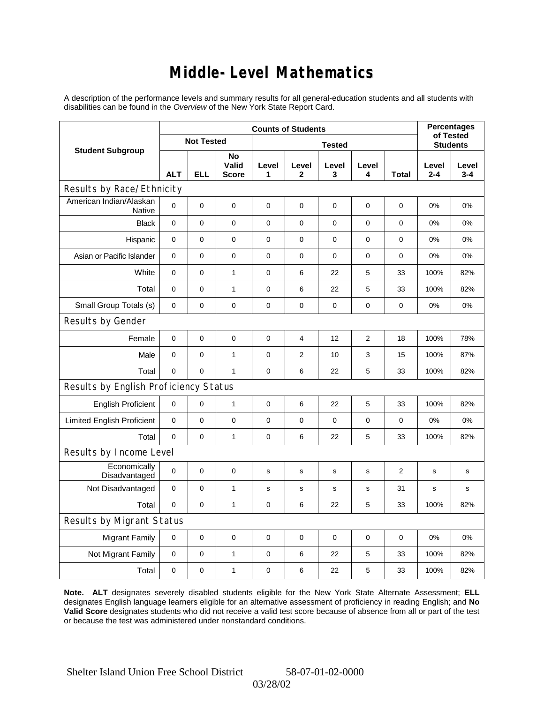#### **Middle-Level Mathematics**

A description of the performance levels and summary results for all general-education students and all students with disabilities can be found in the *Overview* of the New York State Report Card.

|                                          | <b>Counts of Students</b> |             |                             |             |                |             |                |                 | <b>Percentages</b><br>of Tested |                  |
|------------------------------------------|---------------------------|-------------|-----------------------------|-------------|----------------|-------------|----------------|-----------------|---------------------------------|------------------|
| <b>Student Subgroup</b>                  | <b>Not Tested</b>         |             | <b>Tested</b>               |             |                |             |                | <b>Students</b> |                                 |                  |
|                                          | <b>ALT</b>                | <b>ELL</b>  | No<br>Valid<br><b>Score</b> | Level<br>1  | Level<br>2     | Level<br>3  | Level<br>4     | <b>Total</b>    | Level<br>$2 - 4$                | Level<br>$3 - 4$ |
| Results by Race/Ethnicity                |                           |             |                             |             |                |             |                |                 |                                 |                  |
| American Indian/Alaskan<br><b>Native</b> | 0                         | $\mathbf 0$ | $\mathbf 0$                 | 0           | $\mathbf 0$    | 0           | 0              | 0               | 0%                              | 0%               |
| <b>Black</b>                             | 0                         | 0           | $\pmb{0}$                   | $\pmb{0}$   | $\mathbf 0$    | 0           | $\mathbf 0$    | 0               | 0%                              | 0%               |
| Hispanic                                 | 0                         | 0           | $\mathbf 0$                 | 0           | $\mathbf 0$    | 0           | $\mathbf 0$    | 0               | 0%                              | 0%               |
| Asian or Pacific Islander                | $\mathbf 0$               | 0           | $\mathbf 0$                 | $\pmb{0}$   | $\mathbf 0$    | $\mathbf 0$ | 0              | $\mathbf 0$     | 0%                              | 0%               |
| White                                    | 0                         | 0           | $\mathbf{1}$                | $\pmb{0}$   | 6              | 22          | $\mathbf 5$    | 33              | 100%                            | 82%              |
| Total                                    | 0                         | 0           | $\mathbf{1}$                | $\mathbf 0$ | 6              | 22          | 5              | 33              | 100%                            | 82%              |
| Small Group Totals (s)                   | $\mathbf 0$               | 0           | $\mathbf 0$                 | $\pmb{0}$   | $\mathbf 0$    | 0           | $\pmb{0}$      | 0               | 0%                              | 0%               |
| Results by Gender                        |                           |             |                             |             |                |             |                |                 |                                 |                  |
| Female                                   | 0                         | $\mathsf 0$ | $\pmb{0}$                   | $\pmb{0}$   | 4              | 12          | $\overline{2}$ | 18              | 100%                            | 78%              |
| Male                                     | $\mathbf 0$               | 0           | $\mathbf{1}$                | 0           | $\overline{2}$ | 10          | 3              | 15              | 100%                            | 87%              |
| Total                                    | 0                         | 0           | $\mathbf{1}$                | 0           | 6              | 22          | 5              | 33              | 100%                            | 82%              |
| Results by English Proficiency Status    |                           |             |                             |             |                |             |                |                 |                                 |                  |
| <b>English Proficient</b>                | 0                         | 0           | $\mathbf{1}$                | 0           | 6              | 22          | 5              | 33              | 100%                            | 82%              |
| <b>Limited English Proficient</b>        | 0                         | 0           | $\mathbf 0$                 | $\pmb{0}$   | $\mathbf 0$    | 0           | 0              | 0               | 0%                              | 0%               |
| Total                                    | 0                         | 0           | $\mathbf{1}$                | 0           | 6              | 22          | 5              | 33              | 100%                            | 82%              |
| Results by Income Level                  |                           |             |                             |             |                |             |                |                 |                                 |                  |
| Economically<br>Disadvantaged            | 0                         | $\mathsf 0$ | $\mathbf 0$                 | $\mathbf s$ | S              | $\mathbf s$ | s              | $\overline{2}$  | $\mathbf s$                     | s                |
| Not Disadvantaged                        | $\mathbf 0$               | 0           | $\mathbf{1}$                | s           | s              | s           | s              | 31              | s                               | s                |
| Total                                    | $\mathbf 0$               | $\mathbf 0$ | $\mathbf{1}$                | 0           | 6              | 22          | 5              | 33              | 100%                            | 82%              |
| Results by Migrant Status                |                           |             |                             |             |                |             |                |                 |                                 |                  |
| <b>Migrant Family</b>                    | $\mathbf 0$               | 0           | $\pmb{0}$                   | 0           | $\mathbf 0$    | 0           | 0              | $\mathbf 0$     | 0%                              | 0%               |
| Not Migrant Family                       | 0                         | 0           | $\mathbf{1}$                | 0           | 6              | 22          | 5              | 33              | 100%                            | 82%              |
| Total                                    | 0                         | 0           | $\mathbf{1}$                | 0           | 6              | 22          | 5              | 33              | 100%                            | 82%              |